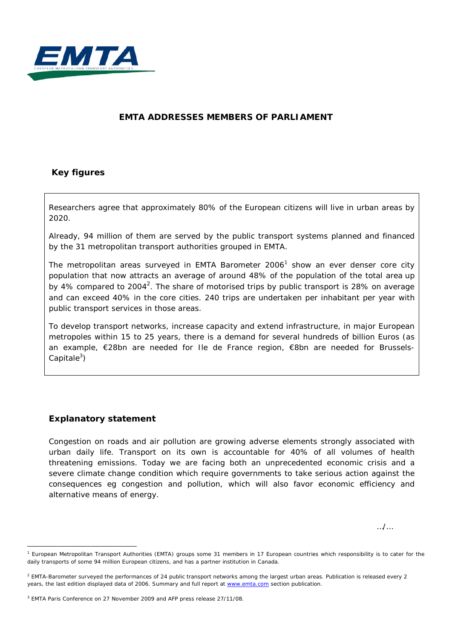

### **EMTA ADDRESSES MEMBERS OF PARLIAMENT**

### **Key figures**

Researchers agree that approximately 80% of the European citizens will live in urban areas by 2020.

Already, 94 million of them are served by the public transport systems planned and financed by the 31 metropolitan transport authorities grouped in EMTA.

The metropolitan areas surveyed in EMTA Barometer  $2006<sup>1</sup>$  show an ever denser core city population that now attracts an average of around 48% of the population of the total area up by 4% compared to 2004<sup>2</sup>. The share of motorised trips by public transport is 28% on average and can exceed 40% in the core cities. 240 trips are undertaken per inhabitant per year with public transport services in those areas.

To develop transport networks, increase capacity and extend infrastructure, in major European metropoles within 15 to 25 years, there is a demand for several hundreds of billion Euros (as an example, €28bn are needed for Ile de France region, €8bn are needed for Brussels-Capitale<sup>3</sup>)

### **Explanatory statement**

-

Congestion on roads and air pollution are growing adverse elements strongly associated with urban daily life. Transport on its own is accountable for 40% of all volumes of health threatening emissions. Today we are facing both an unprecedented economic crisis and a severe climate change condition which require governments to take serious action against the consequences eg congestion and pollution, which will also favor economic efficiency and alternative means of energy.

…/…

<sup>1</sup> European Metropolitan Transport Authorities (EMTA) groups some 31 members in 17 European countries which responsibility is to cater for the daily transports of some 94 million European citizens, and has a partner institution in Canada.

<sup>&</sup>lt;sup>2</sup> EMTA-Barometer surveyed the performances of 24 public transport networks among the largest urban areas. Publication is released every 2 years, the last edition displayed data of 2006. Summary and full report at [www.emta.com](http://www.emta.com/) section publication.

<sup>3</sup> EMTA Paris Conference on 27 November 2009 and AFP press release 27/11/08.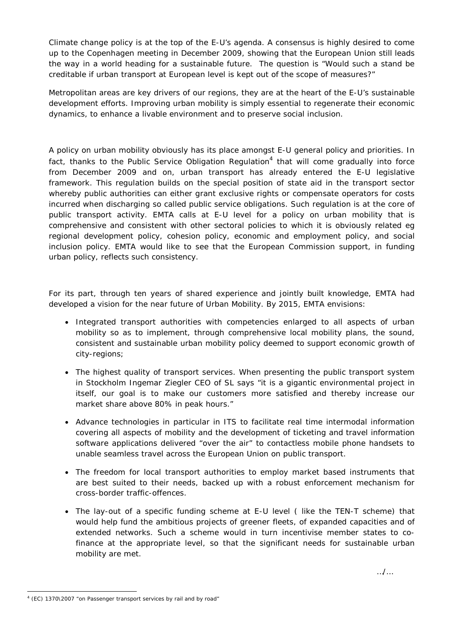Climate change policy is at the top of the E-U's agenda. A consensus is highly desired to come up to the Copenhagen meeting in December 2009, showing that the European Union still leads the way in a world heading for a sustainable future. The question is "Would such a stand be creditable if urban transport at European level is kept out of the scope of measures?"

Metropolitan areas are key drivers of our regions, they are at the heart of the E-U's sustainable development efforts. Improving urban mobility is simply essential to regenerate their economic dynamics, to enhance a livable environment and to preserve social inclusion.

A policy on urban mobility obviously has its place amongst E-U general policy and priorities. In fact, thanks to the Public Service Obligation Regulation<sup>4</sup> that will come gradually into force from December 2009 and on, urban transport has already entered the E-U legislative framework. This regulation builds on the special position of state aid in the transport sector whereby public authorities can either grant exclusive rights or compensate operators for costs incurred when discharging so called public service obligations. Such regulation is at the core of public transport activity. EMTA calls at E-U level for a policy on urban mobility that is comprehensive and consistent with other sectoral policies to which it is obviously related eg regional development policy, cohesion policy, economic and employment policy, and social inclusion policy. EMTA would like to see that the European Commission support, in funding urban policy, reflects such consistency.

For its part, through ten years of shared experience and jointly built knowledge, EMTA had developed a vision for the near future of Urban Mobility. By 2015, EMTA envisions:

- Integrated transport authorities with competencies enlarged to all aspects of urban mobility so as to implement, through comprehensive local mobility plans, the sound, consistent and sustainable urban mobility policy deemed to support economic growth of city-regions;
- The highest quality of transport services. When presenting the public transport system in Stockholm Ingemar Ziegler CEO of SL says *"it is a gigantic environmental project in itself, our goal is to make our customers more satisfied and thereby increase our market share above 80% in peak hours."*
- Advance technologies in particular in ITS to facilitate real time intermodal information covering all aspects of mobility and the development of ticketing and travel information software applications delivered "over the air" to contactless mobile phone handsets to unable seamless travel across the European Union on public transport.
- The freedom for local transport authorities to employ market based instruments that are best suited to their needs, backed up with a robust enforcement mechanism for cross-border traffic-offences.
- The lay-out of a specific funding scheme at E-U level ( like the TEN-T scheme) that would help fund the ambitious projects of greener fleets, of expanded capacities and of extended networks. Such a scheme would in turn incentivise member states to cofinance at the appropriate level, so that the significant needs for sustainable urban mobility are met.

<sup>-</sup><sup>4</sup> (EC) 1370\2007 "on Passenger transport services by rail and by road"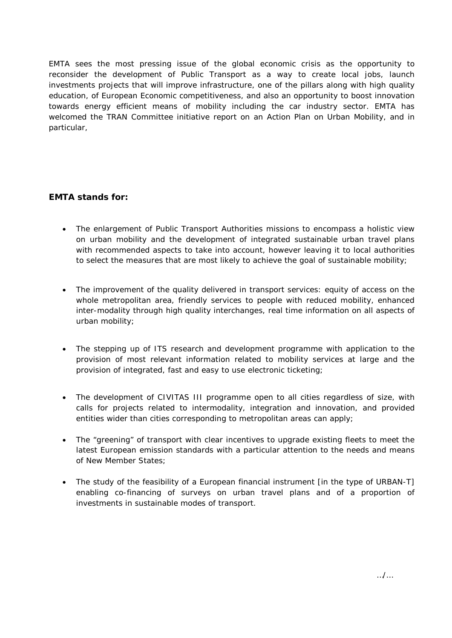EMTA sees the most pressing issue of the global economic crisis as the opportunity to reconsider the development of Public Transport as a way to create local jobs, launch investments projects that will improve infrastructure, one of the pillars along with high quality education, of European Economic competitiveness, and also an opportunity to boost innovation towards energy efficient means of mobility including the car industry sector. EMTA has welcomed the TRAN Committee initiative report on an Action Plan on Urban Mobility, and in particular,

## **EMTA stands for:**

- The enlargement of Public Transport Authorities missions to encompass a holistic view on urban mobility and the development of integrated sustainable urban travel plans with recommended aspects to take into account, however leaving it to local authorities to select the measures that are most likely to achieve the goal of sustainable mobility;
- The improvement of the quality delivered in transport services: equity of access on the whole metropolitan area, friendly services to people with reduced mobility, enhanced inter-modality through high quality interchanges, real time information on all aspects of urban mobility;
- The stepping up of ITS research and development programme with application to the provision of most relevant information related to mobility services at large and the provision of integrated, fast and easy to use electronic ticketing;
- The development of CIVITAS III programme open to all cities regardless of size, with calls for projects related to intermodality, integration and innovation, and provided entities wider than cities corresponding to metropolitan areas can apply;
- The "greening" of transport with clear incentives to upgrade existing fleets to meet the latest European emission standards with a particular attention to the needs and means of New Member States;
- The study of the feasibility of a European financial instrument [in the type of URBAN-T] enabling co-financing of surveys on urban travel plans and of a proportion of investments in sustainable modes of transport.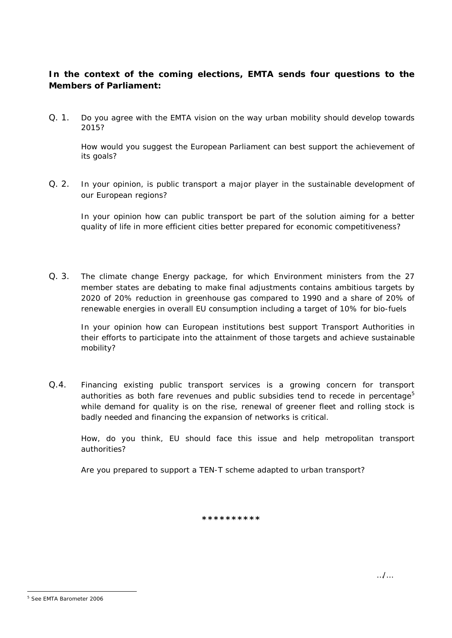# **In the context of the coming elections, EMTA sends four questions to the Members of Parliament:**

Q. 1. Do you agree with the EMTA vision on the way urban mobility should develop towards 2015?

How would you suggest the European Parliament can best support the achievement of its goals?

Q. 2. In your opinion, is public transport a major player in the sustainable development of our European regions?

In your opinion how can public transport be part of the solution aiming for a better quality of life in more efficient cities better prepared for economic competitiveness?

Q. 3. The climate change Energy package, for which Environment ministers from the 27 member states are debating to make final adjustments contains ambitious targets by 2020 of 20% reduction in greenhouse gas compared to 1990 and a share of 20% of renewable energies in overall EU consumption including a target of 10% for bio-fuels

In your opinion how can European institutions best support Transport Authorities in their efforts to participate into the attainment of those targets and achieve sustainable mobility?

Q.4. Financing existing public transport services is a growing concern for transport authorities as both fare revenues and public subsidies tend to recede in percentage<sup>5</sup> while demand for quality is on the rise, renewal of greener fleet and rolling stock is badly needed and financing the expansion of networks is critical.

How, do you think, EU should face this issue and help metropolitan transport authorities?

Are you prepared to support a TEN-T scheme adapted to urban transport?

**\*\*\*\*\*\*\*\*\*\***

<sup>-</sup><sup>5</sup> See EMTA Barometer 2006